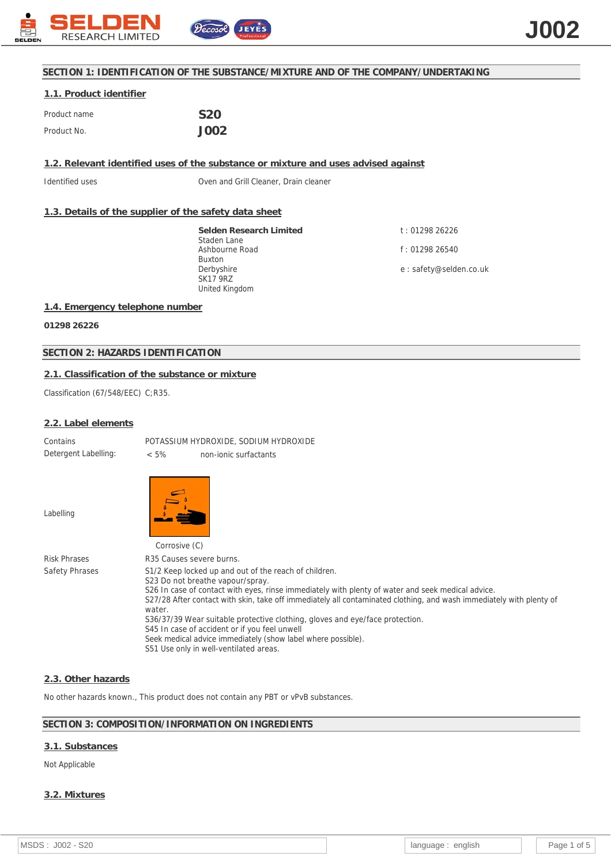

# **SECTION 1: IDENTIFICATION OF THE SUBSTANCE/MIXTURE AND OF THE COMPANY/UNDERTAKING**

# **1.1. Product identifier** Product name **S20** Product No. **J002**

**1.2. Relevant identified uses of the substance or mixture and uses advised against**

Identified uses Oven and Grill Cleaner, Drain cleaner

# **1.3. Details of the supplier of the safety data sheet**

**Selden Research Limited** Staden Lane Ashbourne Road Buxton Derbyshire SK17 9RZ United Kingdom

t : 01298 26226 f : 01298 26540 e : safety@selden.co.uk

#### **1.4. Emergency telephone number**

**01298 26226**

# **SECTION 2: HAZARDS IDENTIFICATION**

# **2.1. Classification of the substance or mixture**

Classification (67/548/EEC) C;R35.

#### **2.2. Label elements**

Contains POTASSIUM HYDROXIDE, SODIUM HYDROXIDE Detergent Labelling: < 5% non-ionic surfactants

Labelling



Corrosive (C) Risk Phrases R35 Causes severe burns. Safety Phrases S1/2 Keep locked up and out of the reach of children. S23 Do not breathe vapour/spray. S26 In case of contact with eyes, rinse immediately with plenty of water and seek medical advice. S27/28 After contact with skin, take off immediately all contaminated clothing, and wash immediately with plenty of water. S36/37/39 Wear suitable protective clothing, gloves and eye/face protection. S45 In case of accident or if you feel unwell Seek medical advice immediately (show label where possible). S51 Use only in well-ventilated areas.

#### **2.3. Other hazards**

No other hazards known., This product does not contain any PBT or vPvB substances.

# **SECTION 3: COMPOSITION/INFORMATION ON INGREDIENTS**

# **3.1. Substances**

#### Not Applicable

# **3.2. Mixtures**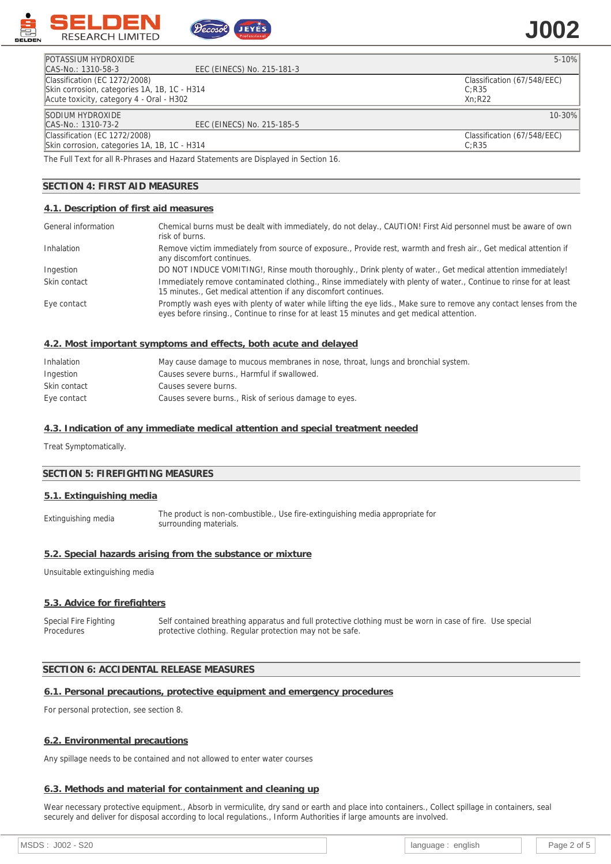

# **J002**

| <b>POTASSIUM HYDROXIDE</b>                   |                            | $5 - 10%$                   |
|----------------------------------------------|----------------------------|-----------------------------|
| CAS-No.: 1310-58-3                           | EEC (EINECS) No. 215-181-3 |                             |
| Classification (EC 1272/2008)                |                            | Classification (67/548/EEC) |
| Skin corrosion, categories 1A, 1B, 1C - H314 |                            | C:R35                       |
| Acute toxicity, category 4 - Oral - H302     |                            | Xn:R22                      |
| SODIUM HYDROXIDE                             |                            | $10 - 30%$                  |
| CAS-No.: 1310-73-2                           | EEC (EINECS) No. 215-185-5 |                             |
| Classification (EC 1272/2008)                |                            | Classification (67/548/EEC) |
| Skin corrosion, categories 1A, 1B, 1C - H314 |                            | C:R35                       |

The Full Text for all R-Phrases and Hazard Statements are Displayed in Section 16.

ecosol

## **SECTION 4: FIRST AID MEASURES**

#### **4.1. Description of first aid measures**

| General information | Chemical burns must be dealt with immediately, do not delay., CAUTION! First Aid personnel must be aware of own<br>risk of burns.                                                                                  |
|---------------------|--------------------------------------------------------------------------------------------------------------------------------------------------------------------------------------------------------------------|
| Inhalation          | Remove victim immediately from source of exposure., Provide rest, warmth and fresh air., Get medical attention if<br>any discomfort continues.                                                                     |
| Ingestion           | DO NOT INDUCE VOMITING!, Rinse mouth thoroughly., Drink plenty of water., Get medical attention immediately!                                                                                                       |
| Skin contact        | Immediately remove contaminated clothing., Rinse immediately with plenty of water., Continue to rinse for at least<br>15 minutes., Get medical attention if any discomfort continues.                              |
| Eye contact         | Promptly wash eyes with plenty of water while lifting the eye lids., Make sure to remove any contact lenses from the<br>eyes before rinsing., Continue to rinse for at least 15 minutes and get medical attention. |

#### **4.2. Most important symptoms and effects, both acute and delayed**

| Inhalation   | May cause damage to mucous membranes in nose, throat, lungs and bronchial system. |
|--------------|-----------------------------------------------------------------------------------|
| Ingestion    | Causes severe burns Harmful if swallowed.                                         |
| Skin contact | Causes severe burns.                                                              |
| Eye contact  | Causes severe burns., Risk of serious damage to eyes.                             |

#### **4.3. Indication of any immediate medical attention and special treatment needed**

Treat Symptomatically.

#### **SECTION 5: FIREFIGHTING MEASURES**

#### **5.1. Extinguishing media**

Extinguishing media The product is non-combustible., Use fire-extinguishing media appropriate for surrounding materials.

#### **5.2. Special hazards arising from the substance or mixture**

Unsuitable extinguishing media

#### **5.3. Advice for firefighters**

Special Fire Fighting Procedures Self contained breathing apparatus and full protective clothing must be worn in case of fire. Use special protective clothing. Regular protection may not be safe.

## **SECTION 6: ACCIDENTAL RELEASE MEASURES**

#### **6.1. Personal precautions, protective equipment and emergency procedures**

For personal protection, see section 8.

#### **6.2. Environmental precautions**

Any spillage needs to be contained and not allowed to enter water courses

#### **6.3. Methods and material for containment and cleaning up**

Wear necessary protective equipment., Absorb in vermiculite, dry sand or earth and place into containers., Collect spillage in containers, seal securely and deliver for disposal according to local regulations., Inform Authorities if large amounts are involved.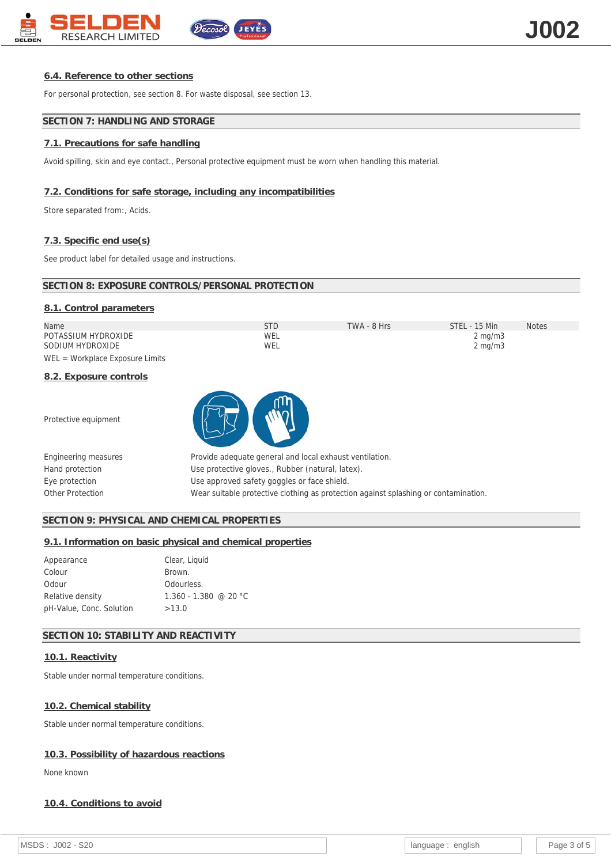

# **6.4. Reference to other sections**

For personal protection, see section 8. For waste disposal, see section 13.

# **SECTION 7: HANDLING AND STORAGE**

# **7.1. Precautions for safe handling**

Avoid spilling, skin and eye contact., Personal protective equipment must be worn when handling this material.

# **7.2. Conditions for safe storage, including any incompatibilities**

Store separated from:, Acids.

# **7.3. Specific end use(s)**

See product label for detailed usage and instructions.

| SECTION 8: EXPOSURE CONTROLS/PERSONAL PROTECTION |
|--------------------------------------------------|
|--------------------------------------------------|

| 8.1. Control parameters           |            |             |                  |              |
|-----------------------------------|------------|-------------|------------------|--------------|
| Name                              | <b>STD</b> | TWA - 8 Hrs | STEL - 15 Min    | <b>Notes</b> |
| POTASSIUM HYDROXIDE               | WEL        |             | $2 \text{ mg/m}$ |              |
| SODIUM HYDROXIDE                  | WEL        |             | $2 \text{ mg/m}$ |              |
| $WEL = Workplace Exposure Limits$ |            |             |                  |              |
| 8.2. Exposure controls            |            |             |                  |              |

Protective equipment



| Engineering measures | Provide adequate general and local exhaust ventilation.                             |
|----------------------|-------------------------------------------------------------------------------------|
| Hand protection      | Use protective gloves., Rubber (natural, latex).                                    |
| Eye protection       | Use approved safety goggles or face shield.                                         |
| Other Protection     | Wear suitable protective clothing as protection against splashing or contamination. |

# **SECTION 9: PHYSICAL AND CHEMICAL PROPERTIES**

**9.1. Information on basic physical and chemical properties**

| Appearance               | Clear, Liquid           |
|--------------------------|-------------------------|
| Colour                   | Brown.                  |
| Odour                    | Odourless.              |
| Relative density         | $1.360 - 1.380$ @ 20 °C |
| pH-Value, Conc. Solution | >13.0                   |

# **SECTION 10: STABILITY AND REACTIVITY**

# **10.1. Reactivity**

Stable under normal temperature conditions.

#### **10.2. Chemical stability**

Stable under normal temperature conditions.

#### **10.3. Possibility of hazardous reactions**

None known

#### **10.4. Conditions to avoid**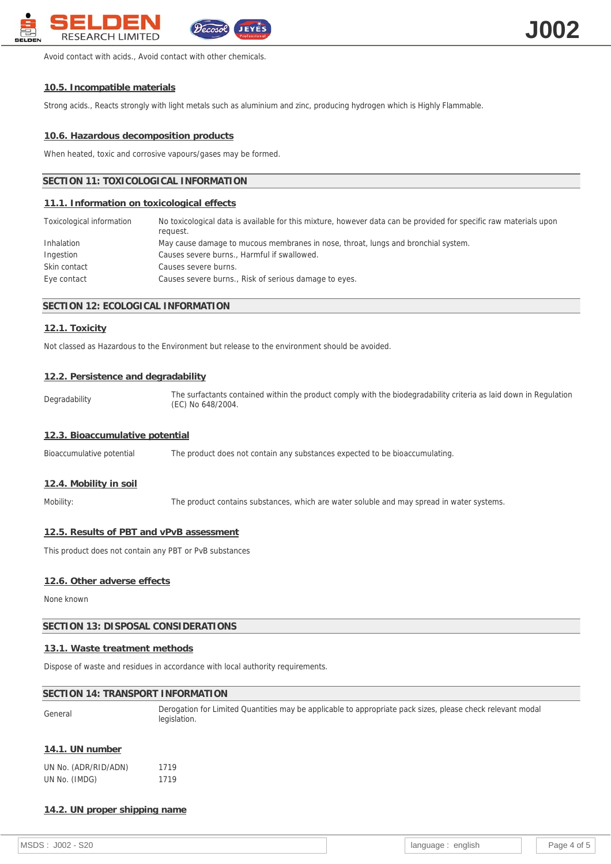

Avoid contact with acids., Avoid contact with other chemicals.

#### **10.5. Incompatible materials**

Strong acids., Reacts strongly with light metals such as aluminium and zinc, producing hydrogen which is Highly Flammable.

#### **10.6. Hazardous decomposition products**

When heated, toxic and corrosive vapours/gases may be formed.

#### **SECTION 11: TOXICOLOGICAL INFORMATION**

#### **11.1. Information on toxicological effects**

| Toxicological information | No toxicological data is available for this mixture, however data can be provided for specific raw materials upon<br>request. |
|---------------------------|-------------------------------------------------------------------------------------------------------------------------------|
| Inhalation                | May cause damage to mucous membranes in nose, throat, lungs and bronchial system.                                             |
| Ingestion                 | Causes severe burns., Harmful if swallowed.                                                                                   |
| Skin contact              | Causes severe burns.                                                                                                          |
| Eye contact               | Causes severe burns., Risk of serious damage to eyes.                                                                         |

## **SECTION 12: ECOLOGICAL INFORMATION**

## **12.1. Toxicity**

Not classed as Hazardous to the Environment but release to the environment should be avoided.

#### **12.2. Persistence and degradability**

Degradability The surfactants contained within the product comply with the biodegradability criteria as laid down in Regulation (EC) No 648/2004.

#### **12.3. Bioaccumulative potential**

Bioaccumulative potential The product does not contain any substances expected to be bioaccumulating.

#### **12.4. Mobility in soil**

Mobility: The product contains substances, which are water soluble and may spread in water systems.

#### **12.5. Results of PBT and vPvB assessment**

This product does not contain any PBT or PvB substances

#### **12.6. Other adverse effects**

None known

## **SECTION 13: DISPOSAL CONSIDERATIONS**

#### **13.1. Waste treatment methods**

Dispose of waste and residues in accordance with local authority requirements.

#### **SECTION 14: TRANSPORT INFORMATION**

General Derogation for Limited Quantities may be applicable to appropriate pack sizes, please check relevant modal legislation.

#### **14.1. UN number**

|               | UN No. (ADR/RID/ADN) | 1719 |
|---------------|----------------------|------|
| UN No. (IMDG) |                      | 1719 |

#### **14.2. UN proper shipping name**